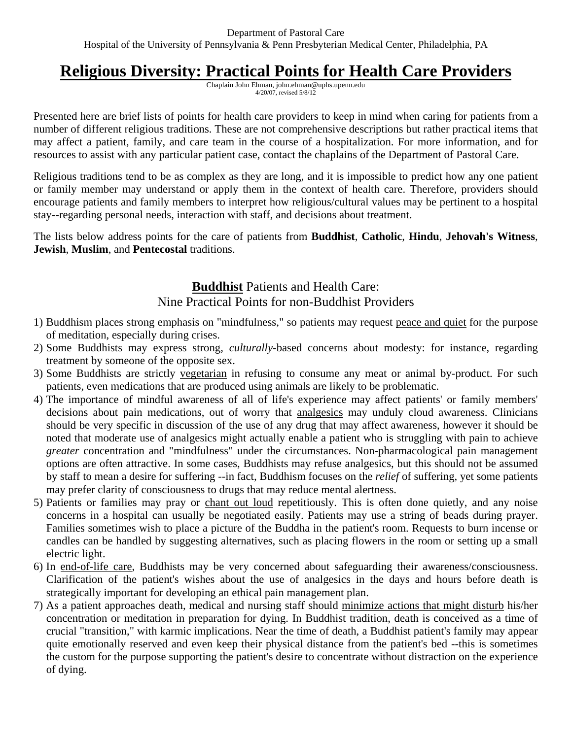## **Religious Diversity: Practical Points for Health Care Providers**

Chaplain John Ehman, john.ehman@uphs.upenn.edu 4/20/07, revised 5/8/12

Presented here are brief lists of points for health care providers to keep in mind when caring for patients from a number of different religious traditions. These are not comprehensive descriptions but rather practical items that may affect a patient, family, and care team in the course of a hospitalization. For more information, and for resources to assist with any particular patient case, contact the chaplains of the Department of Pastoral Care.

Religious traditions tend to be as complex as they are long, and it is impossible to predict how any one patient or family member may understand or apply them in the context of health care. Therefore, providers should encourage patients and family members to interpret how religious/cultural values may be pertinent to a hospital stay--regarding personal needs, interaction with staff, and decisions about treatment.

The lists below address points for the care of patients from **Buddhist**, **Catholic**, **Hindu**, **Jehovah's Witness**, **Jewish**, **Muslim**, and **Pentecostal** traditions.

## **Buddhist** Patients and Health Care: Nine Practical Points for non-Buddhist Providers

- 1) Buddhism places strong emphasis on "mindfulness," so patients may request peace and quiet for the purpose of meditation, especially during crises.
- 2) Some Buddhists may express strong, *culturally*-based concerns about modesty: for instance, regarding treatment by someone of the opposite sex.
- 3) Some Buddhists are strictly vegetarian in refusing to consume any meat or animal by-product. For such patients, even medications that are produced using animals are likely to be problematic.
- 4) The importance of mindful awareness of all of life's experience may affect patients' or family members' decisions about pain medications, out of worry that analgesics may unduly cloud awareness. Clinicians should be very specific in discussion of the use of any drug that may affect awareness, however it should be noted that moderate use of analgesics might actually enable a patient who is struggling with pain to achieve *greater* concentration and "mindfulness" under the circumstances. Non-pharmacological pain management options are often attractive. In some cases, Buddhists may refuse analgesics, but this should not be assumed by staff to mean a desire for suffering --in fact, Buddhism focuses on the *relief* of suffering, yet some patients may prefer clarity of consciousness to drugs that may reduce mental alertness.
- 5) Patients or families may pray or chant out loud repetitiously. This is often done quietly, and any noise concerns in a hospital can usually be negotiated easily. Patients may use a string of beads during prayer. Families sometimes wish to place a picture of the Buddha in the patient's room. Requests to burn incense or candles can be handled by suggesting alternatives, such as placing flowers in the room or setting up a small electric light.
- 6) In end-of-life care, Buddhists may be very concerned about safeguarding their awareness/consciousness. Clarification of the patient's wishes about the use of analgesics in the days and hours before death is strategically important for developing an ethical pain management plan.
- 7) As a patient approaches death, medical and nursing staff should minimize actions that might disturb his/her concentration or meditation in preparation for dying. In Buddhist tradition, death is conceived as a time of crucial "transition," with karmic implications. Near the time of death, a Buddhist patient's family may appear quite emotionally reserved and even keep their physical distance from the patient's bed --this is sometimes the custom for the purpose supporting the patient's desire to concentrate without distraction on the experience of dying.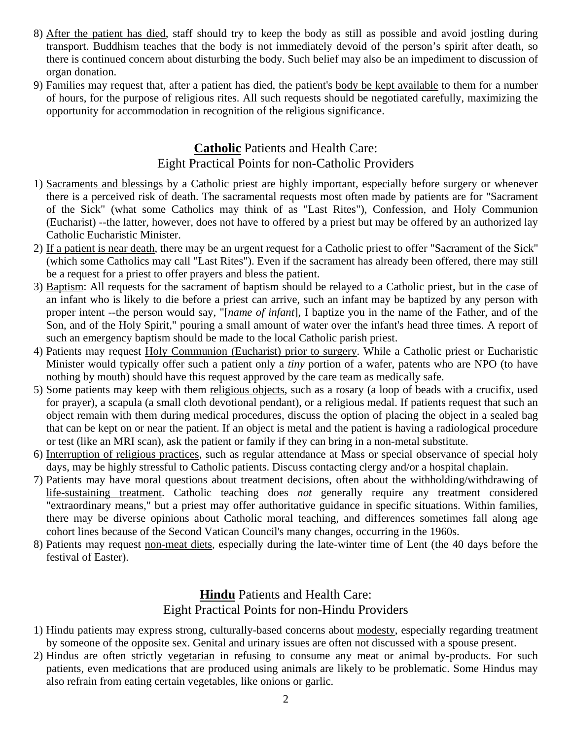- 8) After the patient has died, staff should try to keep the body as still as possible and avoid jostling during transport. Buddhism teaches that the body is not immediately devoid of the person's spirit after death, so there is continued concern about disturbing the body. Such belief may also be an impediment to discussion of organ donation.
- 9) Families may request that, after a patient has died, the patient's body be kept available to them for a number of hours, for the purpose of religious rites. All such requests should be negotiated carefully, maximizing the opportunity for accommodation in recognition of the religious significance.

## **Catholic** Patients and Health Care: Eight Practical Points for non-Catholic Providers

- 1) Sacraments and blessings by a Catholic priest are highly important, especially before surgery or whenever there is a perceived risk of death. The sacramental requests most often made by patients are for "Sacrament of the Sick" (what some Catholics may think of as "Last Rites"), Confession, and Holy Communion (Eucharist) --the latter, however, does not have to offered by a priest but may be offered by an authorized lay Catholic Eucharistic Minister.
- 2) If a patient is near death, there may be an urgent request for a Catholic priest to offer "Sacrament of the Sick" (which some Catholics may call "Last Rites"). Even if the sacrament has already been offered, there may still be a request for a priest to offer prayers and bless the patient.
- 3) Baptism: All requests for the sacrament of baptism should be relayed to a Catholic priest, but in the case of an infant who is likely to die before a priest can arrive, such an infant may be baptized by any person with proper intent --the person would say, "[*name of infant*], I baptize you in the name of the Father, and of the Son, and of the Holy Spirit," pouring a small amount of water over the infant's head three times. A report of such an emergency baptism should be made to the local Catholic parish priest.
- 4) Patients may request Holy Communion (Eucharist) prior to surgery. While a Catholic priest or Eucharistic Minister would typically offer such a patient only a *tiny* portion of a wafer, patents who are NPO (to have nothing by mouth) should have this request approved by the care team as medically safe.
- 5) Some patients may keep with them religious objects, such as a rosary (a loop of beads with a crucifix, used for prayer), a scapula (a small cloth devotional pendant), or a religious medal. If patients request that such an object remain with them during medical procedures, discuss the option of placing the object in a sealed bag that can be kept on or near the patient. If an object is metal and the patient is having a radiological procedure or test (like an MRI scan), ask the patient or family if they can bring in a non-metal substitute.
- 6) Interruption of religious practices, such as regular attendance at Mass or special observance of special holy days, may be highly stressful to Catholic patients. Discuss contacting clergy and/or a hospital chaplain.
- 7) Patients may have moral questions about treatment decisions, often about the withholding/withdrawing of life-sustaining treatment. Catholic teaching does *not* generally require any treatment considered "extraordinary means," but a priest may offer authoritative guidance in specific situations. Within families, there may be diverse opinions about Catholic moral teaching, and differences sometimes fall along age cohort lines because of the Second Vatican Council's many changes, occurring in the 1960s.
- 8) Patients may request non-meat diets, especially during the late-winter time of Lent (the 40 days before the festival of Easter).

## **Hindu** Patients and Health Care: Eight Practical Points for non-Hindu Providers

- 1) Hindu patients may express strong, culturally-based concerns about modesty, especially regarding treatment by someone of the opposite sex. Genital and urinary issues are often not discussed with a spouse present.
- 2) Hindus are often strictly vegetarian in refusing to consume any meat or animal by-products. For such patients, even medications that are produced using animals are likely to be problematic. Some Hindus may also refrain from eating certain vegetables, like onions or garlic.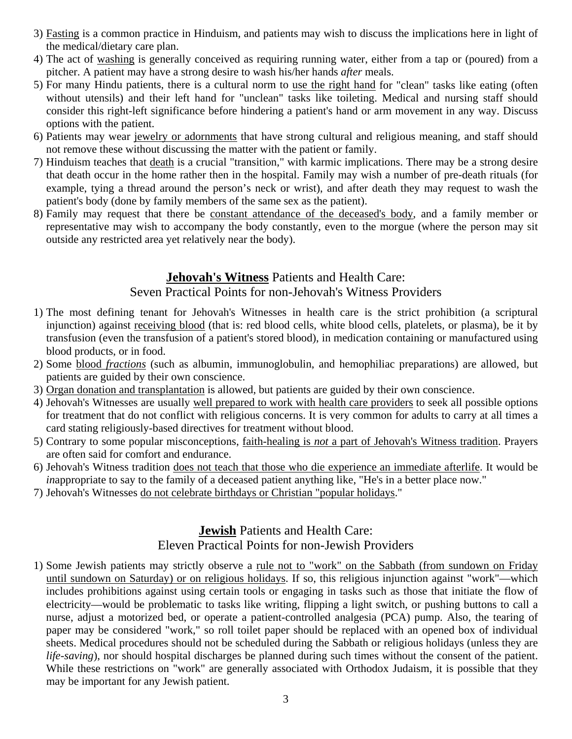- 3) Fasting is a common practice in Hinduism, and patients may wish to discuss the implications here in light of the medical/dietary care plan.
- 4) The act of washing is generally conceived as requiring running water, either from a tap or (poured) from a pitcher. A patient may have a strong desire to wash his/her hands *after* meals.
- 5) For many Hindu patients, there is a cultural norm to use the right hand for "clean" tasks like eating (often without utensils) and their left hand for "unclean" tasks like toileting. Medical and nursing staff should consider this right-left significance before hindering a patient's hand or arm movement in any way. Discuss options with the patient.
- 6) Patients may wear jewelry or adornments that have strong cultural and religious meaning, and staff should not remove these without discussing the matter with the patient or family.
- 7) Hinduism teaches that death is a crucial "transition," with karmic implications. There may be a strong desire that death occur in the home rather then in the hospital. Family may wish a number of pre-death rituals (for example, tying a thread around the person's neck or wrist), and after death they may request to wash the patient's body (done by family members of the same sex as the patient).
- 8) Family may request that there be constant attendance of the deceased's body, and a family member or representative may wish to accompany the body constantly, even to the morgue (where the person may sit outside any restricted area yet relatively near the body).

## **Jehovah's Witness** Patients and Health Care:

#### Seven Practical Points for non-Jehovah's Witness Providers

- 1) The most defining tenant for Jehovah's Witnesses in health care is the strict prohibition (a scriptural injunction) against receiving blood (that is: red blood cells, white blood cells, platelets, or plasma), be it by transfusion (even the transfusion of a patient's stored blood), in medication containing or manufactured using blood products, or in food.
- 2) Some blood *fractions* (such as albumin, immunoglobulin, and hemophiliac preparations) are allowed, but patients are guided by their own conscience.
- 3) Organ donation and transplantation is allowed, but patients are guided by their own conscience.
- 4) Jehovah's Witnesses are usually well prepared to work with health care providers to seek all possible options for treatment that do not conflict with religious concerns. It is very common for adults to carry at all times a card stating religiously-based directives for treatment without blood.
- 5) Contrary to some popular misconceptions, faith-healing is *not* a part of Jehovah's Witness tradition. Prayers are often said for comfort and endurance.
- 6) Jehovah's Witness tradition does not teach that those who die experience an immediate afterlife. It would be *inappropriate to say to the family of a deceased patient anything like, "He's in a better place now."*
- 7) Jehovah's Witnesses do not celebrate birthdays or Christian "popular holidays."

## **Jewish** Patients and Health Care: Eleven Practical Points for non-Jewish Providers

1) Some Jewish patients may strictly observe a rule not to "work" on the Sabbath (from sundown on Friday until sundown on Saturday) or on religious holidays. If so, this religious injunction against "work"—which includes prohibitions against using certain tools or engaging in tasks such as those that initiate the flow of electricity—would be problematic to tasks like writing, flipping a light switch, or pushing buttons to call a nurse, adjust a motorized bed, or operate a patient-controlled analgesia (PCA) pump. Also, the tearing of paper may be considered "work," so roll toilet paper should be replaced with an opened box of individual sheets. Medical procedures should not be scheduled during the Sabbath or religious holidays (unless they are *life-saving*), nor should hospital discharges be planned during such times without the consent of the patient. While these restrictions on "work" are generally associated with Orthodox Judaism, it is possible that they may be important for any Jewish patient.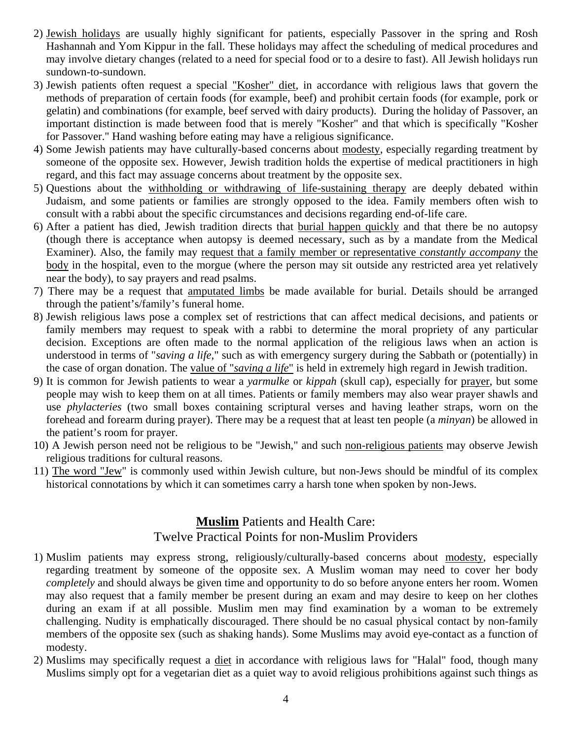- 2) Jewish holidays are usually highly significant for patients, especially Passover in the spring and Rosh Hashannah and Yom Kippur in the fall. These holidays may affect the scheduling of medical procedures and may involve dietary changes (related to a need for special food or to a desire to fast). All Jewish holidays run sundown-to-sundown.
- 3) Jewish patients often request a special "Kosher" diet, in accordance with religious laws that govern the methods of preparation of certain foods (for example, beef) and prohibit certain foods (for example, pork or gelatin) and combinations (for example, beef served with dairy products). During the holiday of Passover, an important distinction is made between food that is merely "Kosher" and that which is specifically "Kosher for Passover." Hand washing before eating may have a religious significance.
- 4) Some Jewish patients may have culturally-based concerns about modesty, especially regarding treatment by someone of the opposite sex. However, Jewish tradition holds the expertise of medical practitioners in high regard, and this fact may assuage concerns about treatment by the opposite sex.
- 5) Questions about the withholding or withdrawing of life-sustaining therapy are deeply debated within Judaism, and some patients or families are strongly opposed to the idea. Family members often wish to consult with a rabbi about the specific circumstances and decisions regarding end-of-life care.
- 6) After a patient has died, Jewish tradition directs that burial happen quickly and that there be no autopsy (though there is acceptance when autopsy is deemed necessary, such as by a mandate from the Medical Examiner). Also, the family may request that a family member or representative *constantly accompany* the body in the hospital, even to the morgue (where the person may sit outside any restricted area yet relatively near the body), to say prayers and read psalms.
- 7) There may be a request that amputated limbs be made available for burial. Details should be arranged through the patient's/family's funeral home.
- 8) Jewish religious laws pose a complex set of restrictions that can affect medical decisions, and patients or family members may request to speak with a rabbi to determine the moral propriety of any particular decision. Exceptions are often made to the normal application of the religious laws when an action is understood in terms of "*saving a life*," such as with emergency surgery during the Sabbath or (potentially) in the case of organ donation. The value of "*saving a life*" is held in extremely high regard in Jewish tradition.
- 9) It is common for Jewish patients to wear a *yarmulke* or *kippah* (skull cap), especially for prayer, but some people may wish to keep them on at all times. Patients or family members may also wear prayer shawls and use *phylacteries* (two small boxes containing scriptural verses and having leather straps, worn on the forehead and forearm during prayer). There may be a request that at least ten people (a *minyan*) be allowed in the patient's room for prayer.
- 10) A Jewish person need not be religious to be "Jewish," and such non-religious patients may observe Jewish religious traditions for cultural reasons.
- 11) The word "Jew" is commonly used within Jewish culture, but non-Jews should be mindful of its complex historical connotations by which it can sometimes carry a harsh tone when spoken by non-Jews.

# **Muslim** Patients and Health Care:

#### Twelve Practical Points for non-Muslim Providers

- 1) Muslim patients may express strong, religiously/culturally-based concerns about modesty, especially regarding treatment by someone of the opposite sex. A Muslim woman may need to cover her body *completely* and should always be given time and opportunity to do so before anyone enters her room. Women may also request that a family member be present during an exam and may desire to keep on her clothes during an exam if at all possible. Muslim men may find examination by a woman to be extremely challenging. Nudity is emphatically discouraged. There should be no casual physical contact by non-family members of the opposite sex (such as shaking hands). Some Muslims may avoid eye-contact as a function of modesty.
- 2) Muslims may specifically request a diet in accordance with religious laws for "Halal" food, though many Muslims simply opt for a vegetarian diet as a quiet way to avoid religious prohibitions against such things as